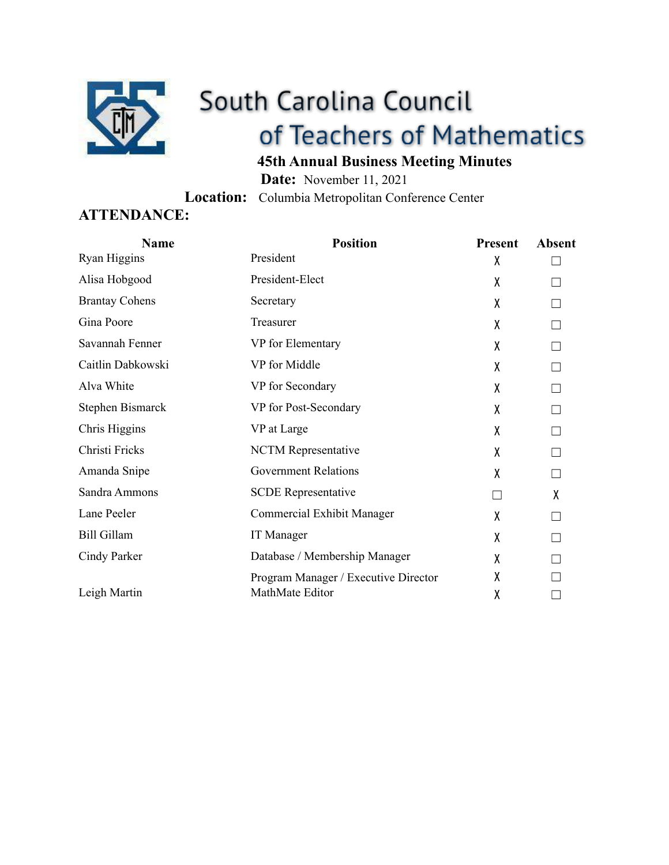

# South Carolina Council of Teachers of Mathematics

# **45th Annual Business Meeting Minutes**

**Date:** November 11, 2021 **Location:** Columbia Metropolitan Conference Center

### **ATTENDANCE:**

| <b>Name</b>           | <b>Position</b>                      | Present | <b>Absent</b> |
|-----------------------|--------------------------------------|---------|---------------|
| Ryan Higgins          | President                            | X       |               |
| Alisa Hobgood         | President-Elect                      | χ       |               |
| <b>Brantay Cohens</b> | Secretary                            | X       |               |
| Gina Poore            | Treasurer                            | χ       |               |
| Savannah Fenner       | VP for Elementary                    | χ       |               |
| Caitlin Dabkowski     | VP for Middle                        | X       |               |
| Alva White            | VP for Secondary                     | X       |               |
| Stephen Bismarck      | VP for Post-Secondary                | χ       |               |
| Chris Higgins         | VP at Large                          | χ       |               |
| Christi Fricks        | NCTM Representative                  | X       |               |
| Amanda Snipe          | <b>Government Relations</b>          | X       |               |
| Sandra Ammons         | <b>SCDE</b> Representative           | П       | X             |
| Lane Peeler           | Commercial Exhibit Manager           | χ       |               |
| <b>Bill Gillam</b>    | <b>IT</b> Manager                    | χ       |               |
| Cindy Parker          | Database / Membership Manager        | χ       |               |
|                       | Program Manager / Executive Director | χ       |               |
| Leigh Martin          | MathMate Editor                      | χ       |               |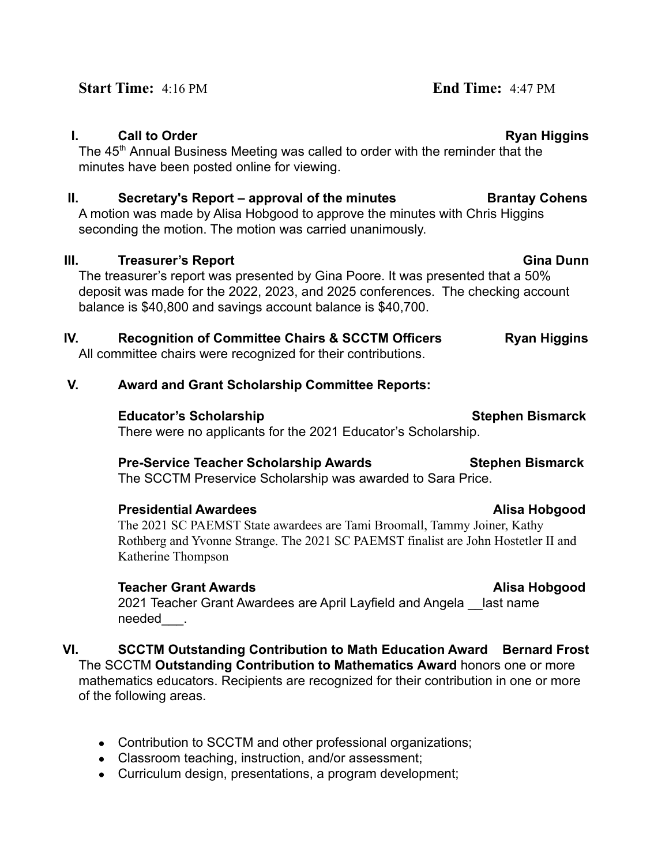#### **I.** Call to Order **Ryan Higgins**

The 45<sup>th</sup> Annual Business Meeting was called to order with the reminder that the minutes have been posted online for viewing.

### **II.** Secretary's Report – approval of the minutes **Brantay Cohens**

A motion was made by Alisa Hobgood to approve the minutes with Chris Higgins seconding the motion. The motion was carried unanimously.

#### **III. Treasurer's Report Gina Dunn**

The treasurer's report was presented by Gina Poore. It was presented that a 50% deposit was made for the 2022, 2023, and 2025 conferences. The checking account balance is \$40,800 and savings account balance is \$40,700.

# **IV.** Recognition of Committee Chairs & SCCTM Officers Ryan Higgins

All committee chairs were recognized for their contributions.

### **V. Award and Grant Scholarship Committee Reports:**

**Educator's Scholarship Stephen Bismarck Stephen Bismarck** 

There were no applicants for the 2021 Educator's Scholarship.

#### **Pre-Service Teacher Scholarship Awards Stephen Bismarck**

The SCCTM Preservice Scholarship was awarded to Sara Price.

# **Presidential Awardees Alisa Hobgood Alisa Hobgood**

The 2021 SC PAEMST State awardees are Tami Broomall, Tammy Joiner, Kathy Rothberg and Yvonne Strange. The 2021 SC PAEMST finalist are John Hostetler II and Katherine Thompson

# **Teacher Grant Awards Alisa Hobgood**

2021 Teacher Grant Awardees are April Layfield and Angela last name needed .

#### **VI. SCCTM Outstanding Contribution to Math Education Award Bernard Frost** The SCCTM **Outstanding Contribution to Mathematics Award** honors one or more mathematics educators. Recipients are recognized for their contribution in one or more of the following areas.

- Contribution to SCCTM and other professional organizations;
- Classroom teaching, instruction, and/or assessment;
- Curriculum design, presentations, a program development;

### **Start Time:** 4:16 PM **End Time:** 4:47 PM